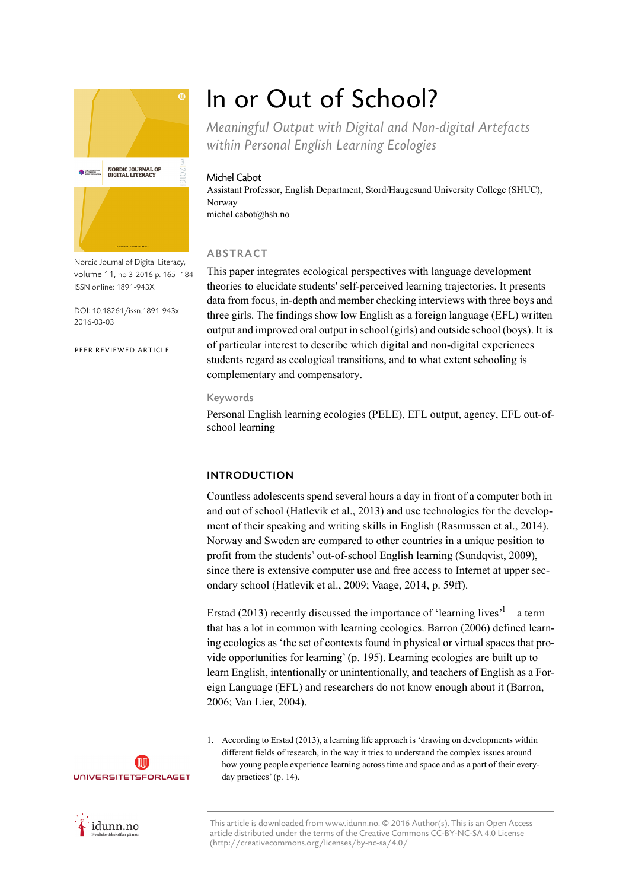

Nordic Journal of Digital Literacy, volume 11, no 3-2016 p. 165–184 ISSN online: 1891-943X

DOI: 10.18261/issn.1891-943x-2016-03-03

PEER REVIEWED ARTICLE

# In or Out of School?

*Meaningful Output with Digital and Non-digital Artefacts within Personal English Learning Ecologies*

## Michel Cabot

Assistant Professor, English Department, Stord/Haugesund University College (SHUC), Norway michel.cabot@hsh.no

# ABSTRACT

This paper integrates ecological perspectives with language development theories to elucidate students' self-perceived learning trajectories. It presents data from focus, in-depth and member checking interviews with three boys and three girls. The findings show low English as a foreign language (EFL) written output and improved oral output in school (girls) and outside school (boys). It is of particular interest to describe which digital and non-digital experiences students regard as ecological transitions, and to what extent schooling is complementary and compensatory.

## Keywords

Personal English learning ecologies (PELE), EFL output, agency, EFL out-ofschool learning

# INTRODUCTION

Countless adolescents spend several hours a day in front of a computer both in and out of school (Hatlevik et al., 2013) and use technologies for the development of their speaking and writing skills in English (Rasmussen et al., 2014). Norway and Sweden are compared to other countries in a unique position to profit from the students' out-of-school English learning (Sundqvist, 2009), since there is extensive computer use and free access to Internet at upper secondary school (Hatlevik et al., 2009; Vaage, 2014, p. 59ff).

Erstad (2013) recently discussed the importance of 'learning lives'<sup>1</sup>—a term that has a lot in common with learning ecologies. Barron (2006) defined learning ecologies as 'the set of contexts found in physical or virtual spaces that provide opportunities for learning' (p. 195). Learning ecologies are built up to learn English, intentionally or unintentionally, and teachers of English as a Foreign Language (EFL) and researchers do not know enough about it (Barron, 2006; Van Lier, 2004).

idunn.no

**UNIVERSITETSFORLAGET** 

<sup>1.</sup> According to Erstad (2013), a learning life approach is 'drawing on developments within different fields of research, in the way it tries to understand the complex issues around how young people experience learning across time and space and as a part of their everyday practices' (p. 14).

This article is downloaded from www.idunn.no. © 2016 Author(s). This is an Open Access article distributed under the terms of the Creative Commons CC-BY-NC-SA 4.0 License (http://creativecommons.org/licenses/by-nc-sa/4.0/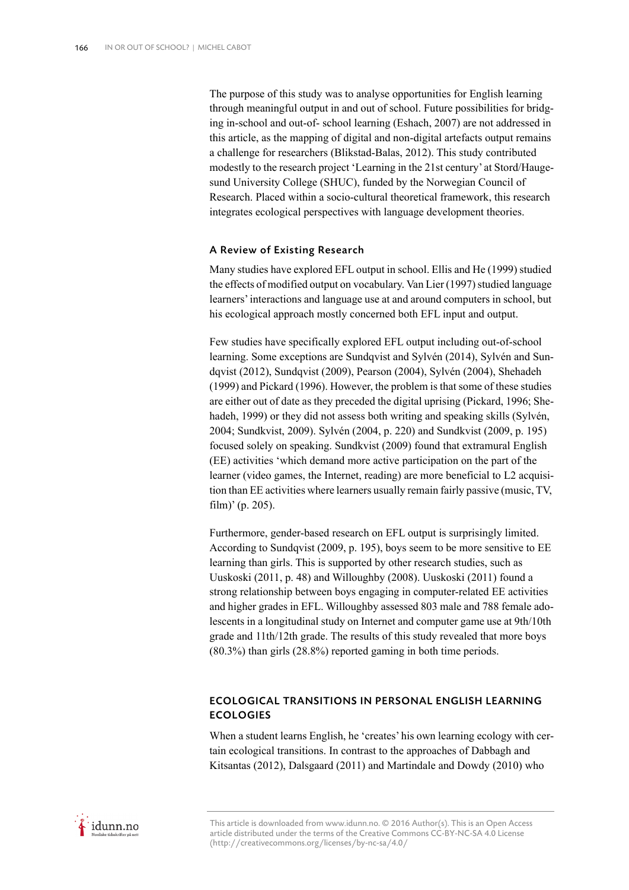The purpose of this study was to analyse opportunities for English learning through meaningful output in and out of school. Future possibilities for bridging in-school and out-of- school learning (Eshach, 2007) are not addressed in this article, as the mapping of digital and non-digital artefacts output remains a challenge for researchers (Blikstad-Balas, 2012). This study contributed modestly to the research project 'Learning in the 21st century' at Stord/Haugesund University College (SHUC), funded by the Norwegian Council of Research. Placed within a socio-cultural theoretical framework, this research integrates ecological perspectives with language development theories.

## A Review of Existing Research

Many studies have explored EFL output in school. Ellis and He (1999) studied the effects of modified output on vocabulary. Van Lier (1997) studied language learners' interactions and language use at and around computers in school, but his ecological approach mostly concerned both EFL input and output.

Few studies have specifically explored EFL output including out-of-school learning. Some exceptions are Sundqvist and Sylvén (2014), Sylvén and Sundqvist (2012), Sundqvist (2009), Pearson (2004), Sylvén (2004), Shehadeh (1999) and Pickard (1996). However, the problem is that some of these studies are either out of date as they preceded the digital uprising (Pickard, 1996; Shehadeh, 1999) or they did not assess both writing and speaking skills (Sylvén, 2004; Sundkvist, 2009). Sylvén (2004, p. 220) and Sundkvist (2009, p. 195) focused solely on speaking. Sundkvist (2009) found that extramural English (EE) activities 'which demand more active participation on the part of the learner (video games, the Internet, reading) are more beneficial to L2 acquisition than EE activities where learners usually remain fairly passive (music, TV, film)' (p. 205).

Furthermore, gender-based research on EFL output is surprisingly limited. According to Sundqvist (2009, p. 195), boys seem to be more sensitive to EE learning than girls. This is supported by other research studies, such as Uuskoski (2011, p. 48) and Willoughby (2008). Uuskoski (2011) found a strong relationship between boys engaging in computer-related EE activities and higher grades in EFL. Willoughby assessed 803 male and 788 female adolescents in a longitudinal study on Internet and computer game use at 9th/10th grade and 11th/12th grade. The results of this study revealed that more boys (80.3%) than girls (28.8%) reported gaming in both time periods.

# ECOLOGICAL TRANSITIONS IN PERSONAL ENGLISH LEARNING **ECOLOGIES**

When a student learns English, he 'creates' his own learning ecology with certain ecological transitions. In contrast to the approaches of Dabbagh and Kitsantas (2012), Dalsgaard (2011) and Martindale and Dowdy (2010) who

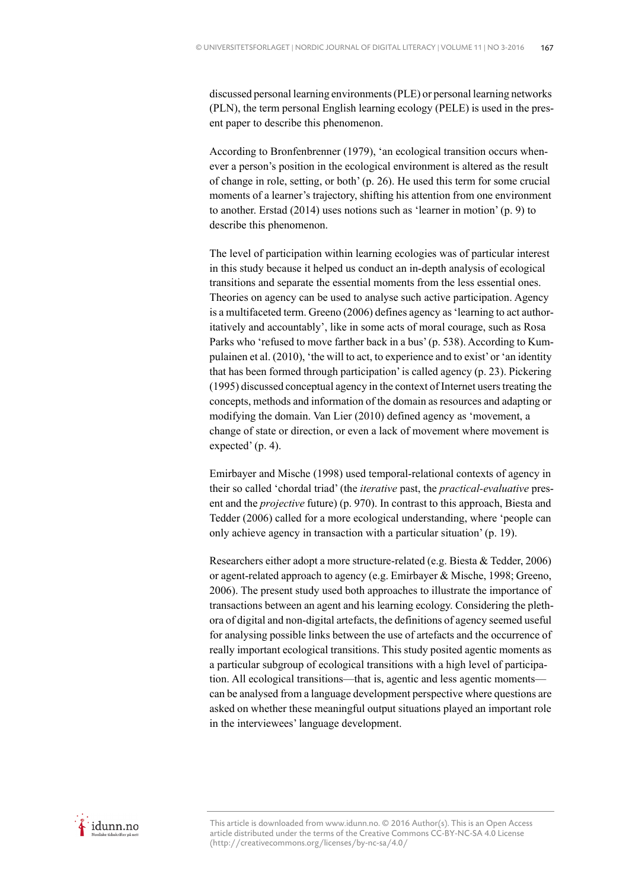discussed personal learning environments (PLE) or personal learning networks (PLN), the term personal English learning ecology (PELE) is used in the present paper to describe this phenomenon.

According to Bronfenbrenner (1979), 'an ecological transition occurs whenever a person's position in the ecological environment is altered as the result of change in role, setting, or both' (p. 26). He used this term for some crucial moments of a learner's trajectory, shifting his attention from one environment to another. Erstad (2014) uses notions such as 'learner in motion' (p. 9) to describe this phenomenon.

The level of participation within learning ecologies was of particular interest in this study because it helped us conduct an in-depth analysis of ecological transitions and separate the essential moments from the less essential ones. Theories on agency can be used to analyse such active participation. Agency is a multifaceted term. Greeno (2006) defines agency as 'learning to act authoritatively and accountably', like in some acts of moral courage, such as Rosa Parks who 'refused to move farther back in a bus' (p. 538). According to Kumpulainen et al. (2010), 'the will to act, to experience and to exist' or 'an identity that has been formed through participation' is called agency (p. 23). Pickering (1995) discussed conceptual agency in the context of Internet users treating the concepts, methods and information of the domain as resources and adapting or modifying the domain. Van Lier (2010) defined agency as 'movement, a change of state or direction, or even a lack of movement where movement is expected' (p. 4).

Emirbayer and Mische (1998) used temporal-relational contexts of agency in their so called 'chordal triad' (the *iterative* past, the *practical-evaluative* present and the *projective* future) (p. 970). In contrast to this approach, Biesta and Tedder (2006) called for a more ecological understanding, where 'people can only achieve agency in transaction with a particular situation' (p. 19).

Researchers either adopt a more structure-related (e.g. Biesta & Tedder, 2006) or agent-related approach to agency (e.g. Emirbayer & Mische, 1998; Greeno, 2006). The present study used both approaches to illustrate the importance of transactions between an agent and his learning ecology. Considering the plethora of digital and non-digital artefacts, the definitions of agency seemed useful for analysing possible links between the use of artefacts and the occurrence of really important ecological transitions. This study posited agentic moments as a particular subgroup of ecological transitions with a high level of participation. All ecological transitions—that is, agentic and less agentic moments can be analysed from a language development perspective where questions are asked on whether these meaningful output situations played an important role in the interviewees' language development.

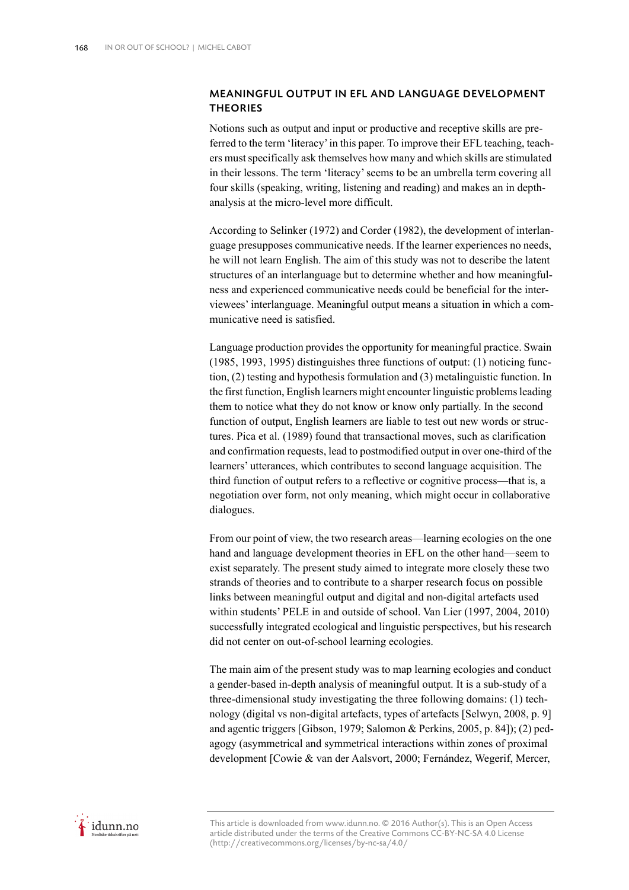# MEANINGFUL OUTPUT IN EFL AND LANGUAGE DEVELOPMENT **THEORIES**

Notions such as output and input or productive and receptive skills are preferred to the term 'literacy' in this paper. To improve their EFL teaching, teachers must specifically ask themselves how many and which skills are stimulated in their lessons. The term 'literacy' seems to be an umbrella term covering all four skills (speaking, writing, listening and reading) and makes an in depthanalysis at the micro-level more difficult.

According to Selinker (1972) and Corder (1982), the development of interlanguage presupposes communicative needs. If the learner experiences no needs, he will not learn English. The aim of this study was not to describe the latent structures of an interlanguage but to determine whether and how meaningfulness and experienced communicative needs could be beneficial for the interviewees' interlanguage. Meaningful output means a situation in which a communicative need is satisfied.

Language production provides the opportunity for meaningful practice. Swain (1985, 1993, 1995) distinguishes three functions of output: (1) noticing function, (2) testing and hypothesis formulation and (3) metalinguistic function. In the first function, English learners might encounter linguistic problems leading them to notice what they do not know or know only partially. In the second function of output, English learners are liable to test out new words or structures. Pica et al. (1989) found that transactional moves, such as clarification and confirmation requests, lead to postmodified output in over one-third of the learners' utterances, which contributes to second language acquisition. The third function of output refers to a reflective or cognitive process—that is, a negotiation over form, not only meaning, which might occur in collaborative dialogues.

From our point of view, the two research areas—learning ecologies on the one hand and language development theories in EFL on the other hand—seem to exist separately. The present study aimed to integrate more closely these two strands of theories and to contribute to a sharper research focus on possible links between meaningful output and digital and non-digital artefacts used within students' PELE in and outside of school. Van Lier (1997, 2004, 2010) successfully integrated ecological and linguistic perspectives, but his research did not center on out-of-school learning ecologies.

The main aim of the present study was to map learning ecologies and conduct a gender-based in-depth analysis of meaningful output. It is a sub-study of a three-dimensional study investigating the three following domains: (1) technology (digital vs non-digital artefacts, types of artefacts [Selwyn, 2008, p. 9] and agentic triggers [Gibson, 1979; Salomon & Perkins, 2005, p. 84]); (2) pedagogy (asymmetrical and symmetrical interactions within zones of proximal development [Cowie & van der Aalsvort, 2000; Fernández, Wegerif, Mercer,

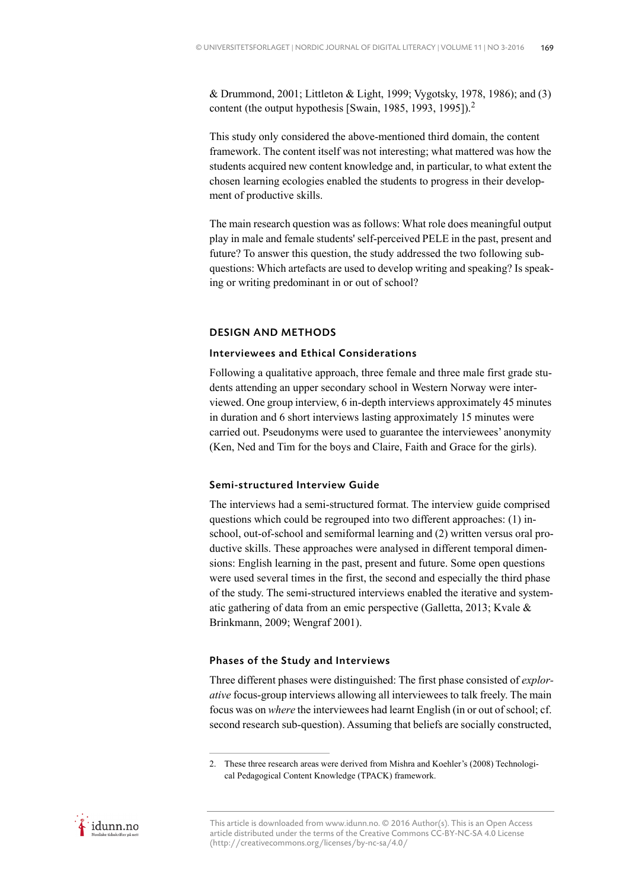& Drummond, 2001; Littleton & Light, 1999; Vygotsky, 1978, 1986); and (3) content (the output hypothesis [Swain, 1985, 1993, 1995]).<sup>2</sup>

This study only considered the above-mentioned third domain, the content framework. The content itself was not interesting; what mattered was how the students acquired new content knowledge and, in particular, to what extent the chosen learning ecologies enabled the students to progress in their development of productive skills.

The main research question was as follows: What role does meaningful output play in male and female students' self-perceived PELE in the past, present and future? To answer this question, the study addressed the two following subquestions: Which artefacts are used to develop writing and speaking? Is speaking or writing predominant in or out of school?

#### DESIGN AND METHODS

## Interviewees and Ethical Considerations

Following a qualitative approach, three female and three male first grade students attending an upper secondary school in Western Norway were interviewed. One group interview, 6 in-depth interviews approximately 45 minutes in duration and 6 short interviews lasting approximately 15 minutes were carried out. Pseudonyms were used to guarantee the interviewees' anonymity (Ken, Ned and Tim for the boys and Claire, Faith and Grace for the girls).

## Semi-structured Interview Guide

The interviews had a semi-structured format. The interview guide comprised questions which could be regrouped into two different approaches: (1) inschool, out-of-school and semiformal learning and (2) written versus oral productive skills. These approaches were analysed in different temporal dimensions: English learning in the past, present and future. Some open questions were used several times in the first, the second and especially the third phase of the study. The semi-structured interviews enabled the iterative and systematic gathering of data from an emic perspective (Galletta, 2013; Kvale & Brinkmann, 2009; Wengraf 2001).

#### Phases of the Study and Interviews

Three different phases were distinguished: The first phase consisted of *explorative* focus-group interviews allowing all interviewees to talk freely. The main focus was on *where* the interviewees had learnt English (in or out of school; cf. second research sub-question). Assuming that beliefs are socially constructed,



<sup>2.</sup> These three research areas were derived from Mishra and Koehler's (2008) Technological Pedagogical Content Knowledge (TPACK) framework.

This article is downloaded from www.idunn.no. © 2016 Author(s). This is an Open Access article distributed under the terms of the Creative Commons CC-BY-NC-SA 4.0 License (http://creativecommons.org/licenses/by-nc-sa/4.0/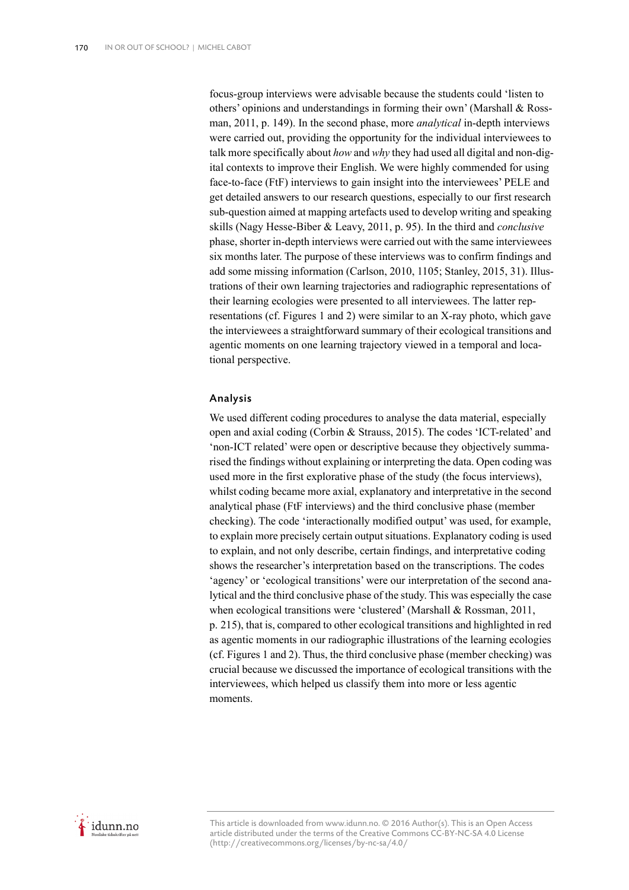focus-group interviews were advisable because the students could 'listen to others' opinions and understandings in forming their own' (Marshall & Rossman, 2011, p. 149). In the second phase, more *analytical* in-depth interviews were carried out, providing the opportunity for the individual interviewees to talk more specifically about *how* and *why* they had used all digital and non-digital contexts to improve their English. We were highly commended for using face-to-face (FtF) interviews to gain insight into the interviewees' PELE and get detailed answers to our research questions, especially to our first research sub-question aimed at mapping artefacts used to develop writing and speaking skills (Nagy Hesse-Biber & Leavy, 2011, p. 95). In the third and *conclusive* phase, shorter in-depth interviews were carried out with the same interviewees six months later. The purpose of these interviews was to confirm findings and add some missing information (Carlson, 2010, 1105; Stanley, 2015, 31). Illustrations of their own learning trajectories and radiographic representations of their learning ecologies were presented to all interviewees. The latter representations (cf. Figures 1 and 2) were similar to an X-ray photo, which gave the interviewees a straightforward summary of their ecological transitions and agentic moments on one learning trajectory viewed in a temporal and locational perspective.

## Analysis

We used different coding procedures to analyse the data material, especially open and axial coding (Corbin & Strauss, 2015). The codes 'ICT-related' and 'non-ICT related' were open or descriptive because they objectively summarised the findings without explaining or interpreting the data. Open coding was used more in the first explorative phase of the study (the focus interviews), whilst coding became more axial, explanatory and interpretative in the second analytical phase (FtF interviews) and the third conclusive phase (member checking). The code 'interactionally modified output' was used, for example, to explain more precisely certain output situations. Explanatory coding is used to explain, and not only describe, certain findings, and interpretative coding shows the researcher's interpretation based on the transcriptions. The codes 'agency' or 'ecological transitions' were our interpretation of the second analytical and the third conclusive phase of the study. This was especially the case when ecological transitions were 'clustered' (Marshall & Rossman, 2011, p. 215), that is, compared to other ecological transitions and highlighted in red as agentic moments in our radiographic illustrations of the learning ecologies (cf. Figures 1 and 2). Thus, the third conclusive phase (member checking) was crucial because we discussed the importance of ecological transitions with the interviewees, which helped us classify them into more or less agentic moments.

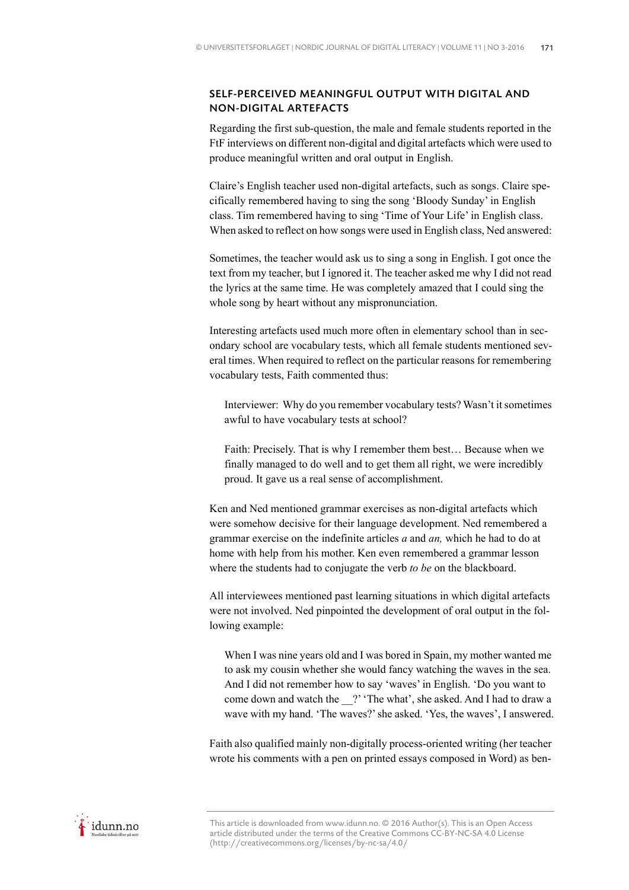# SELF-PERCEIVED MEANINGFUL OUTPUT WITH DIGITAL AND NON-DIGITAL ARTEFACTS

Regarding the first sub-question, the male and female students reported in the FtF interviews on different non-digital and digital artefacts which were used to produce meaningful written and oral output in English.

Claire's English teacher used non-digital artefacts, such as songs. Claire specifically remembered having to sing the song 'Bloody Sunday' in English class. Tim remembered having to sing 'Time of Your Life' in English class. When asked to reflect on how songs were used in English class, Ned answered:

Sometimes, the teacher would ask us to sing a song in English. I got once the text from my teacher, but I ignored it. The teacher asked me why I did not read the lyrics at the same time. He was completely amazed that I could sing the whole song by heart without any mispronunciation.

Interesting artefacts used much more often in elementary school than in secondary school are vocabulary tests, which all female students mentioned several times. When required to reflect on the particular reasons for remembering vocabulary tests, Faith commented thus:

Interviewer: Why do you remember vocabulary tests? Wasn't it sometimes awful to have vocabulary tests at school?

Faith: Precisely. That is why I remember them best… Because when we finally managed to do well and to get them all right, we were incredibly proud. It gave us a real sense of accomplishment.

Ken and Ned mentioned grammar exercises as non-digital artefacts which were somehow decisive for their language development. Ned remembered a grammar exercise on the indefinite articles *a* and *an,* which he had to do at home with help from his mother. Ken even remembered a grammar lesson where the students had to conjugate the verb *to be* on the blackboard.

All interviewees mentioned past learning situations in which digital artefacts were not involved. Ned pinpointed the development of oral output in the following example:

When I was nine years old and I was bored in Spain, my mother wanted me to ask my cousin whether she would fancy watching the waves in the sea. And I did not remember how to say 'waves' in English. 'Do you want to come down and watch the ?' 'The what', she asked. And I had to draw a wave with my hand. 'The waves?' she asked. 'Yes, the waves', I answered.

Faith also qualified mainly non-digitally process-oriented writing (her teacher wrote his comments with a pen on printed essays composed in Word) as ben-

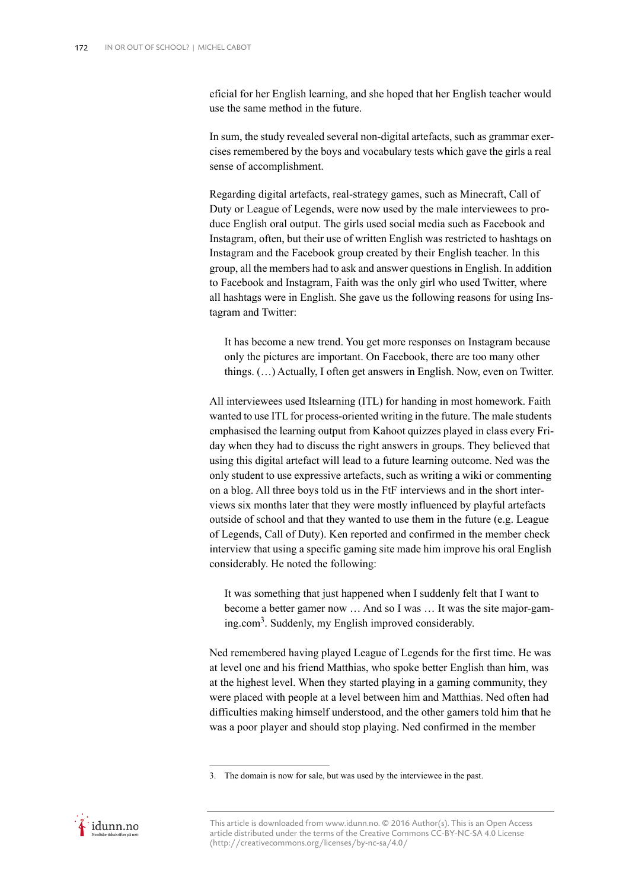eficial for her English learning, and she hoped that her English teacher would use the same method in the future.

In sum, the study revealed several non-digital artefacts, such as grammar exercises remembered by the boys and vocabulary tests which gave the girls a real sense of accomplishment.

Regarding digital artefacts, real-strategy games, such as Minecraft, Call of Duty or League of Legends, were now used by the male interviewees to produce English oral output. The girls used social media such as Facebook and Instagram, often, but their use of written English was restricted to hashtags on Instagram and the Facebook group created by their English teacher. In this group, all the members had to ask and answer questions in English. In addition to Facebook and Instagram, Faith was the only girl who used Twitter, where all hashtags were in English. She gave us the following reasons for using Instagram and Twitter:

It has become a new trend. You get more responses on Instagram because only the pictures are important. On Facebook, there are too many other things. (…) Actually, I often get answers in English. Now, even on Twitter.

All interviewees used Itslearning (ITL) for handing in most homework. Faith wanted to use ITL for process-oriented writing in the future. The male students emphasised the learning output from Kahoot quizzes played in class every Friday when they had to discuss the right answers in groups. They believed that using this digital artefact will lead to a future learning outcome. Ned was the only student to use expressive artefacts, such as writing a wiki or commenting on a blog. All three boys told us in the FtF interviews and in the short interviews six months later that they were mostly influenced by playful artefacts outside of school and that they wanted to use them in the future (e.g. League of Legends, Call of Duty). Ken reported and confirmed in the member check interview that using a specific gaming site made him improve his oral English considerably. He noted the following:

It was something that just happened when I suddenly felt that I want to become a better gamer now … And so I was … It was the site major-gaming.com3 . Suddenly, my English improved considerably.

Ned remembered having played League of Legends for the first time. He was at level one and his friend Matthias, who spoke better English than him, was at the highest level. When they started playing in a gaming community, they were placed with people at a level between him and Matthias. Ned often had difficulties making himself understood, and the other gamers told him that he was a poor player and should stop playing. Ned confirmed in the member



<sup>3.</sup> The domain is now for sale, but was used by the interviewee in the past.

This article is downloaded from www.idunn.no. © 2016 Author(s). This is an Open Access article distributed under the terms of the Creative Commons CC-BY-NC-SA 4.0 License (http://creativecommons.org/licenses/by-nc-sa/4.0/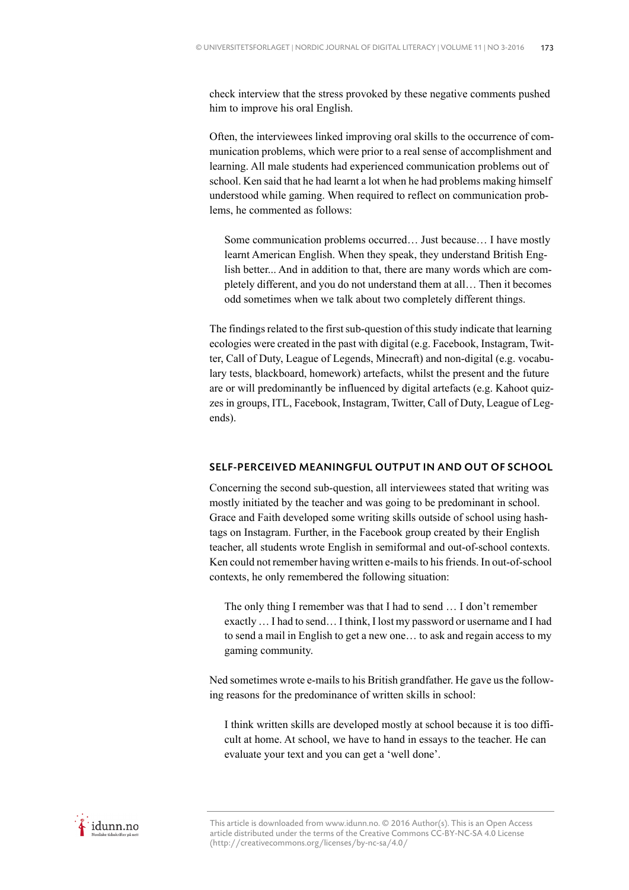check interview that the stress provoked by these negative comments pushed him to improve his oral English.

Often, the interviewees linked improving oral skills to the occurrence of communication problems, which were prior to a real sense of accomplishment and learning. All male students had experienced communication problems out of school. Ken said that he had learnt a lot when he had problems making himself understood while gaming. When required to reflect on communication problems, he commented as follows:

Some communication problems occurred… Just because… I have mostly learnt American English. When they speak, they understand British English better... And in addition to that, there are many words which are completely different, and you do not understand them at all… Then it becomes odd sometimes when we talk about two completely different things.

The findings related to the first sub-question of this study indicate that learning ecologies were created in the past with digital (e.g. Facebook, Instagram, Twitter, Call of Duty, League of Legends, Minecraft) and non-digital (e.g. vocabulary tests, blackboard, homework) artefacts, whilst the present and the future are or will predominantly be influenced by digital artefacts (e.g. Kahoot quizzes in groups, ITL, Facebook, Instagram, Twitter, Call of Duty, League of Legends).

## SELF-PERCEIVED MEANINGFUL OUTPUT IN AND OUT OF SCHOOL

Concerning the second sub-question, all interviewees stated that writing was mostly initiated by the teacher and was going to be predominant in school. Grace and Faith developed some writing skills outside of school using hashtags on Instagram. Further, in the Facebook group created by their English teacher, all students wrote English in semiformal and out-of-school contexts. Ken could not remember having written e-mails to his friends. In out-of-school contexts, he only remembered the following situation:

The only thing I remember was that I had to send … I don't remember exactly … I had to send… I think, I lost my password or username and I had to send a mail in English to get a new one… to ask and regain access to my gaming community.

Ned sometimes wrote e-mails to his British grandfather. He gave us the following reasons for the predominance of written skills in school:

I think written skills are developed mostly at school because it is too difficult at home. At school, we have to hand in essays to the teacher. He can evaluate your text and you can get a 'well done'.

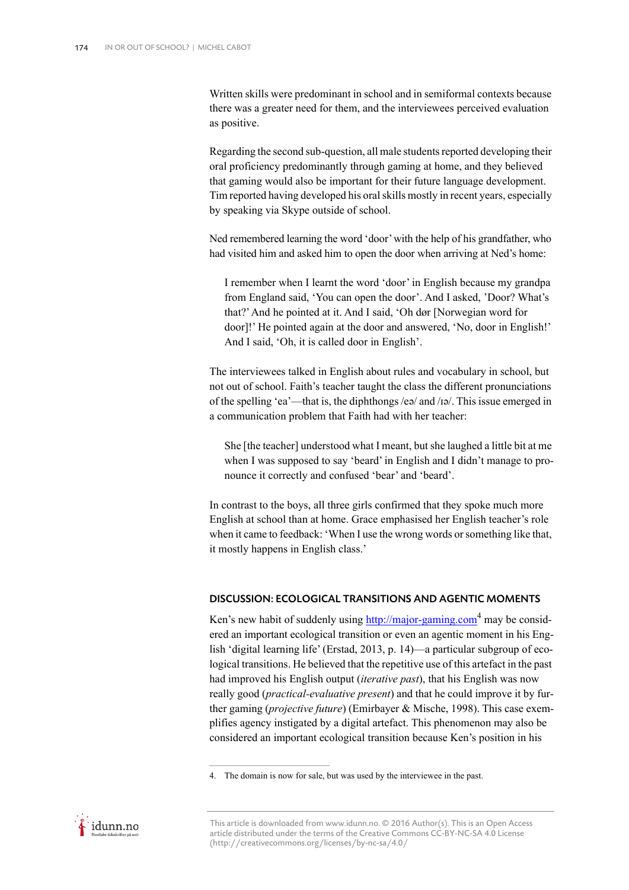Written skills were predominant in school and in semiformal contexts because there was a greater need for them, and the interviewees perceived evaluation as positive.

Regarding the second sub-question, all male students reported developing their oral proficiency predominantly through gaming at home, and they believed that gaming would also be important for their future language development. Tim reported having developed his oral skills mostly in recent years, especially by speaking via Skype outside of school.

Ned remembered learning the word 'door' with the help of his grandfather, who had visited him and asked him to open the door when arriving at Ned's home:

I remember when I learnt the word 'door' in English because my grandpa from England said, 'You can open the door'. And I asked, 'Door? What's that?' And he pointed at it. And I said, 'Oh dør [Norwegian word for door]!' He pointed again at the door and answered, 'No, door in English!' And I said, 'Oh, it is called door in English'.

The interviewees talked in English about rules and vocabulary in school, but not out of school. Faith's teacher taught the class the different pronunciations of the spelling 'ea'—that is, the diphthongs /eə/ and /ɪə/. This issue emerged in a communication problem that Faith had with her teacher:

She [the teacher] understood what I meant, but she laughed a little bit at me when I was supposed to say 'beard' in English and I didn't manage to pronounce it correctly and confused 'bear' and 'beard'.

In contrast to the boys, all three girls confirmed that they spoke much more English at school than at home. Grace emphasised her English teacher's role when it came to feedback: 'When I use the wrong words or something like that, it mostly happens in English class.'

## DISCUSSION: ECOLOGICAL TRANSITIONS AND AGENTIC MOMENTS

Ken's new habit of suddenly using  $\frac{http://major-gaming.com}{http://major-gaming.com}$  may be considered an important ecological transition or even an agentic moment in his English 'digital learning life' (Erstad, 2013, p. 14)—a particular subgroup of ecological transitions. He believed that the repetitive use of this artefact in the past had improved his English output (*iterative past*), that his English was now really good (*practical-evaluative present*) and that he could improve it by further gaming (*projective future*) (Emirbayer & Mische, 1998). This case exemplifies agency instigated by a digital artefact. This phenomenon may also be considered an important ecological transition because Ken's position in his



<sup>4.</sup> The domain is now for sale, but was used by the interviewee in the past.

This article is downloaded from www.idunn.no. © 2016 Author(s). This is an Open Access article distributed under the terms of the Creative Commons CC-BY-NC-SA 4.0 License (http://creativecommons.org/licenses/by-nc-sa/4.0/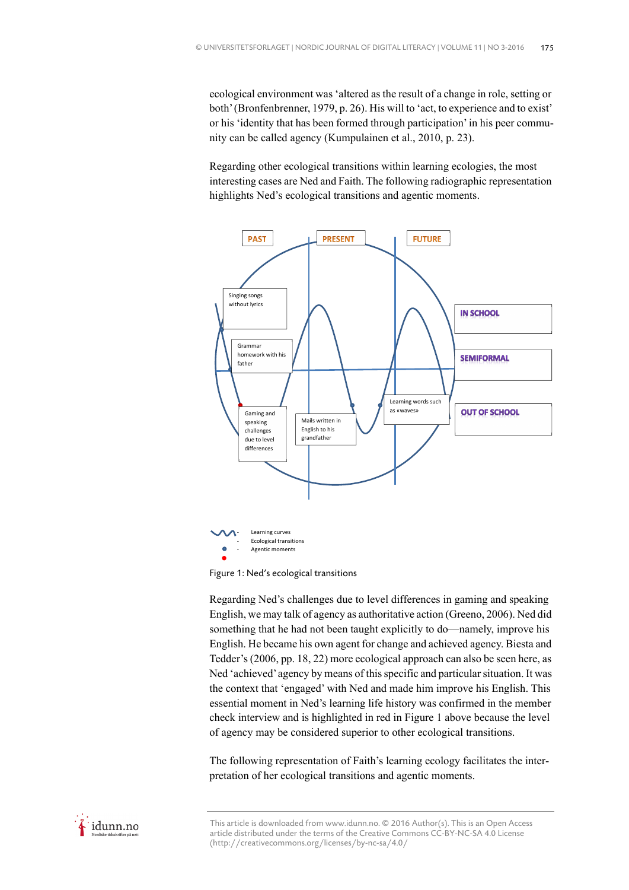ecological environment was 'altered as the result of a change in role, setting or both' (Bronfenbrenner, 1979, p. 26). His will to 'act, to experience and to exist' or his 'identity that has been formed through participation' in his peer community can be called agency (Kumpulainen et al., 2010, p. 23).

Regarding other ecological transitions within learning ecologies, the most interesting cases are Ned and Faith. The following radiographic representation highlights Ned's ecological transitions and agentic moments.



Figure 1: Ned's ecological transitions

Regarding Ned's challenges due to level differences in gaming and speaking English, we may talk of agency as authoritative action (Greeno, 2006). Ned did something that he had not been taught explicitly to do—namely, improve his English. He became his own agent for change and achieved agency. Biesta and Tedder's (2006, pp. 18, 22) more ecological approach can also be seen here, as Ned 'achieved' agency by means of this specific and particular situation. It was the context that 'engaged' with Ned and made him improve his English. This essential moment in Ned's learning life history was confirmed in the member check interview and is highlighted in red in Figure 1 above because the level of agency may be considered superior to other ecological transitions.

The following representation of Faith's learning ecology facilitates the interpretation of her ecological transitions and agentic moments.

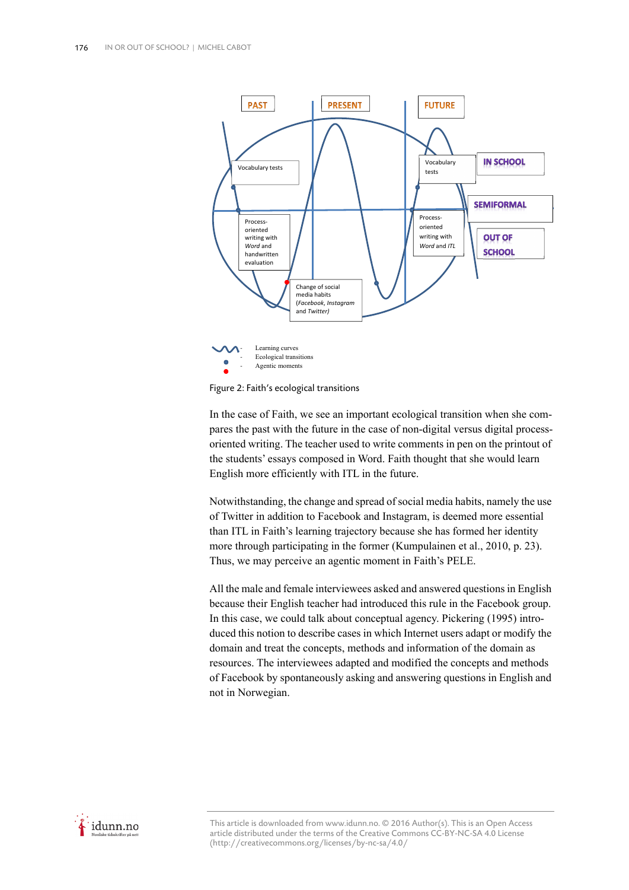

Figure 2: Faith's ecological transitions

In the case of Faith, we see an important ecological transition when she compares the past with the future in the case of non-digital versus digital processoriented writing. The teacher used to write comments in pen on the printout of the students' essays composed in Word. Faith thought that she would learn English more efficiently with ITL in the future.

Notwithstanding, the change and spread of social media habits, namely the use of Twitter in addition to Facebook and Instagram, is deemed more essential than ITL in Faith's learning trajectory because she has formed her identity more through participating in the former (Kumpulainen et al., 2010, p. 23). Thus, we may perceive an agentic moment in Faith's PELE.

All the male and female interviewees asked and answered questions in English because their English teacher had introduced this rule in the Facebook group. In this case, we could talk about conceptual agency. Pickering (1995) introduced this notion to describe cases in which Internet users adapt or modify the domain and treat the concepts, methods and information of the domain as resources. The interviewees adapted and modified the concepts and methods of Facebook by spontaneously asking and answering questions in English and not in Norwegian.

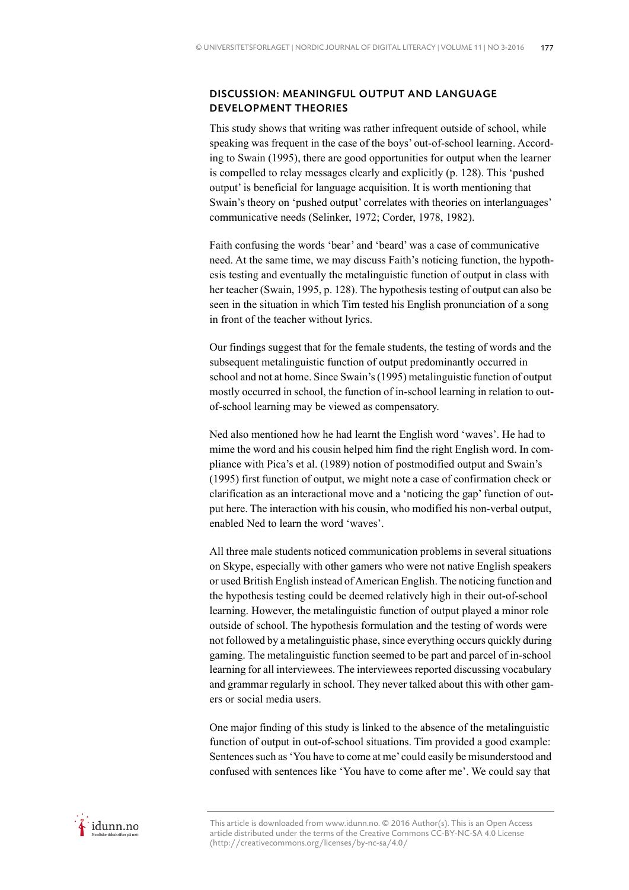# DISCUSSION: MEANINGFUL OUTPUT AND LANGUAGE DEVELOPMENT THEORIES

This study shows that writing was rather infrequent outside of school, while speaking was frequent in the case of the boys' out-of-school learning. According to Swain (1995), there are good opportunities for output when the learner is compelled to relay messages clearly and explicitly (p. 128). This 'pushed output' is beneficial for language acquisition. It is worth mentioning that Swain's theory on 'pushed output' correlates with theories on interlanguages' communicative needs (Selinker, 1972; Corder, 1978, 1982).

Faith confusing the words 'bear' and 'beard' was a case of communicative need. At the same time, we may discuss Faith's noticing function, the hypothesis testing and eventually the metalinguistic function of output in class with her teacher (Swain, 1995, p. 128). The hypothesis testing of output can also be seen in the situation in which Tim tested his English pronunciation of a song in front of the teacher without lyrics.

Our findings suggest that for the female students, the testing of words and the subsequent metalinguistic function of output predominantly occurred in school and not at home. Since Swain's (1995) metalinguistic function of output mostly occurred in school, the function of in-school learning in relation to outof-school learning may be viewed as compensatory.

Ned also mentioned how he had learnt the English word 'waves'. He had to mime the word and his cousin helped him find the right English word. In compliance with Pica's et al. (1989) notion of postmodified output and Swain's (1995) first function of output, we might note a case of confirmation check or clarification as an interactional move and a 'noticing the gap' function of output here. The interaction with his cousin, who modified his non-verbal output, enabled Ned to learn the word 'waves'.

All three male students noticed communication problems in several situations on Skype, especially with other gamers who were not native English speakers or used British English instead of American English. The noticing function and the hypothesis testing could be deemed relatively high in their out-of-school learning. However, the metalinguistic function of output played a minor role outside of school. The hypothesis formulation and the testing of words were not followed by a metalinguistic phase, since everything occurs quickly during gaming. The metalinguistic function seemed to be part and parcel of in-school learning for all interviewees. The interviewees reported discussing vocabulary and grammar regularly in school. They never talked about this with other gamers or social media users.

One major finding of this study is linked to the absence of the metalinguistic function of output in out-of-school situations. Tim provided a good example: Sentences such as 'You have to come at me' could easily be misunderstood and confused with sentences like 'You have to come after me'. We could say that



This article is downloaded from www.idunn.no. © 2016 Author(s). This is an Open Access article distributed under the terms of the Creative Commons CC-BY-NC-SA 4.0 License (http://creativecommons.org/licenses/by-nc-sa/4.0/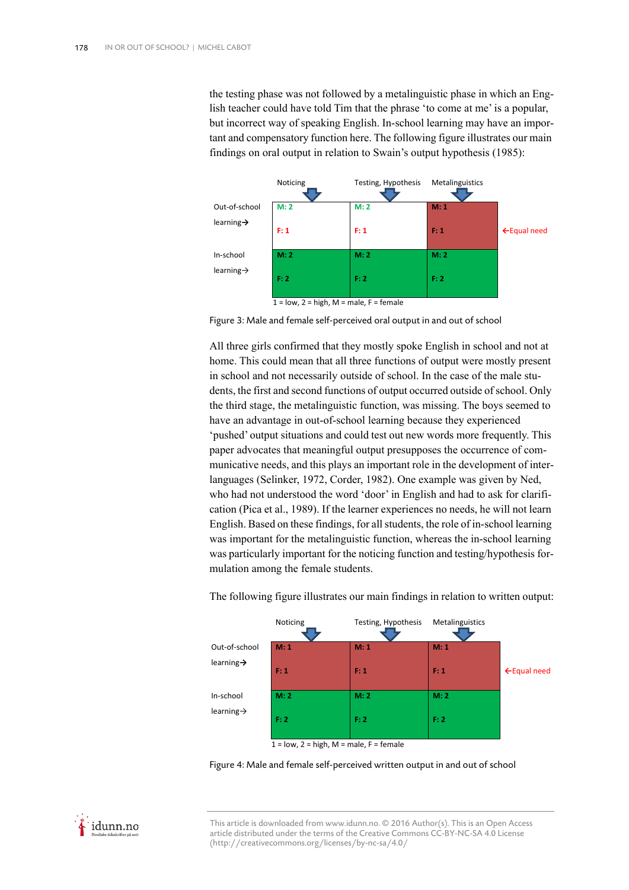the testing phase was not followed by a metalinguistic phase in which an English teacher could have told Tim that the phrase 'to come at me' is a popular, but incorrect way of speaking English. In-school learning may have an important and compensatory function here. The following figure illustrates our main findings on oral output in relation to Swain's output hypothesis (1985):



Figure 3: Male and female self-perceived oral output in and out of school

All three girls confirmed that they mostly spoke English in school and not at home. This could mean that all three functions of output were mostly present in school and not necessarily outside of school. In the case of the male students, the first and second functions of output occurred outside of school. Only the third stage, the metalinguistic function, was missing. The boys seemed to have an advantage in out-of-school learning because they experienced 'pushed' output situations and could test out new words more frequently. This paper advocates that meaningful output presupposes the occurrence of communicative needs, and this plays an important role in the development of interlanguages (Selinker, 1972, Corder, 1982). One example was given by Ned, who had not understood the word 'door' in English and had to ask for clarification (Pica et al., 1989). If the learner experiences no needs, he will not learn English. Based on these findings, for all students, the role of in-school learning was important for the metalinguistic function, whereas the in-school learning was particularly important for the noticing function and testing/hypothesis formulation among the female students.



The following figure illustrates our main findings in relation to written output:

Figure 4: Male and female self-perceived written output in and out of school

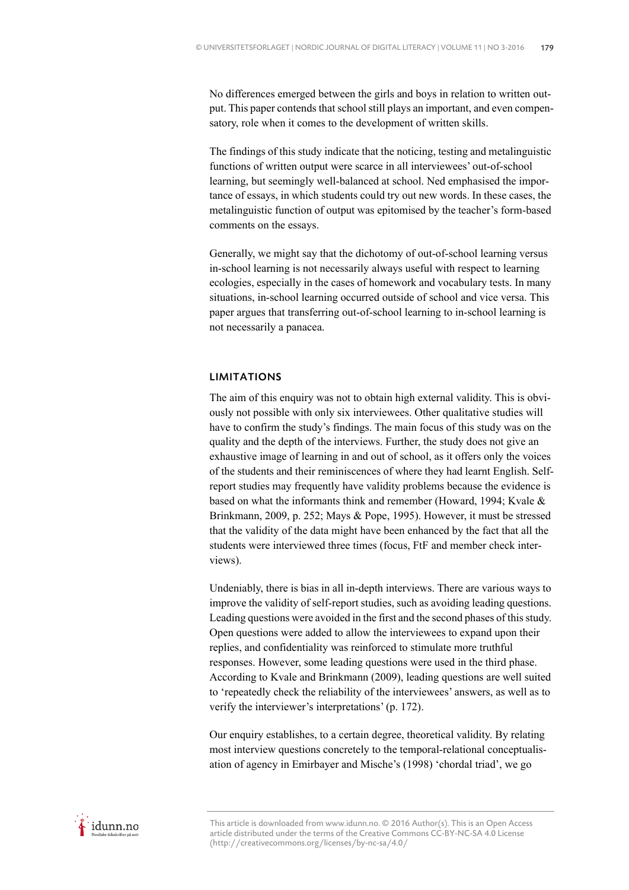No differences emerged between the girls and boys in relation to written output. This paper contends that school still plays an important, and even compensatory, role when it comes to the development of written skills.

The findings of this study indicate that the noticing, testing and metalinguistic functions of written output were scarce in all interviewees' out-of-school learning, but seemingly well-balanced at school. Ned emphasised the importance of essays, in which students could try out new words. In these cases, the metalinguistic function of output was epitomised by the teacher's form-based comments on the essays.

Generally, we might say that the dichotomy of out-of-school learning versus in-school learning is not necessarily always useful with respect to learning ecologies, especially in the cases of homework and vocabulary tests. In many situations, in-school learning occurred outside of school and vice versa. This paper argues that transferring out-of-school learning to in-school learning is not necessarily a panacea.

## LIMITATIONS

The aim of this enquiry was not to obtain high external validity. This is obviously not possible with only six interviewees. Other qualitative studies will have to confirm the study's findings. The main focus of this study was on the quality and the depth of the interviews. Further, the study does not give an exhaustive image of learning in and out of school, as it offers only the voices of the students and their reminiscences of where they had learnt English. Selfreport studies may frequently have validity problems because the evidence is based on what the informants think and remember (Howard, 1994; Kvale  $\&$ Brinkmann, 2009, p. 252; Mays & Pope, 1995). However, it must be stressed that the validity of the data might have been enhanced by the fact that all the students were interviewed three times (focus, FtF and member check interviews).

Undeniably, there is bias in all in-depth interviews. There are various ways to improve the validity of self-report studies, such as avoiding leading questions. Leading questions were avoided in the first and the second phases of this study. Open questions were added to allow the interviewees to expand upon their replies, and confidentiality was reinforced to stimulate more truthful responses. However, some leading questions were used in the third phase. According to Kvale and Brinkmann (2009), leading questions are well suited to 'repeatedly check the reliability of the interviewees' answers, as well as to verify the interviewer's interpretations' (p. 172).

Our enquiry establishes, to a certain degree, theoretical validity. By relating most interview questions concretely to the temporal-relational conceptualisation of agency in Emirbayer and Mische's (1998) 'chordal triad', we go

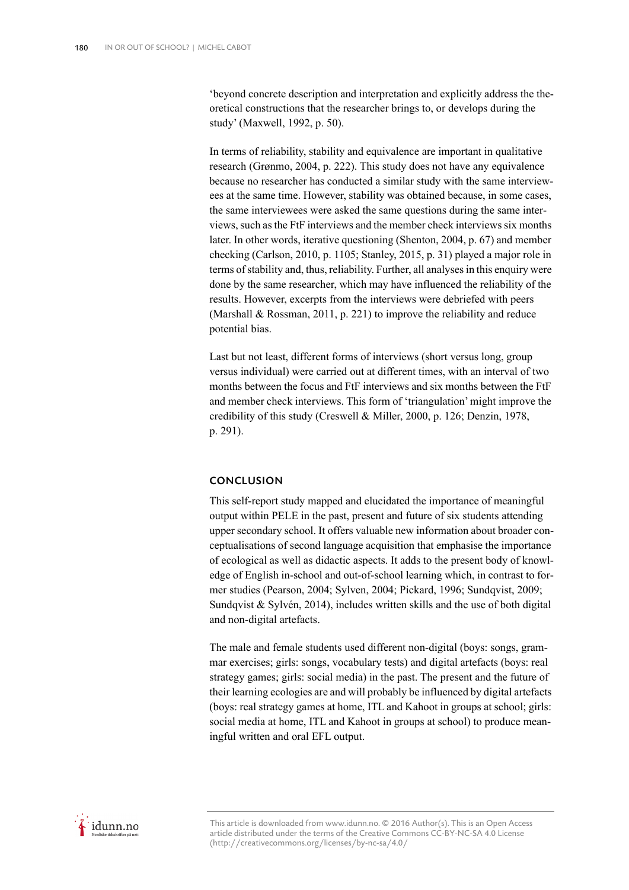'beyond concrete description and interpretation and explicitly address the theoretical constructions that the researcher brings to, or develops during the study' (Maxwell, 1992, p. 50).

In terms of reliability, stability and equivalence are important in qualitative research (Grønmo, 2004, p. 222). This study does not have any equivalence because no researcher has conducted a similar study with the same interviewees at the same time. However, stability was obtained because, in some cases, the same interviewees were asked the same questions during the same interviews, such as the FtF interviews and the member check interviews six months later. In other words, iterative questioning (Shenton, 2004, p. 67) and member checking (Carlson, 2010, p. 1105; Stanley, 2015, p. 31) played a major role in terms of stability and, thus, reliability. Further, all analyses in this enquiry were done by the same researcher, which may have influenced the reliability of the results. However, excerpts from the interviews were debriefed with peers (Marshall & Rossman, 2011, p. 221) to improve the reliability and reduce potential bias.

Last but not least, different forms of interviews (short versus long, group versus individual) were carried out at different times, with an interval of two months between the focus and FtF interviews and six months between the FtF and member check interviews. This form of 'triangulation' might improve the credibility of this study (Creswell & Miller, 2000, p. 126; Denzin, 1978, p. 291).

# **CONCLUSION**

This self-report study mapped and elucidated the importance of meaningful output within PELE in the past, present and future of six students attending upper secondary school. It offers valuable new information about broader conceptualisations of second language acquisition that emphasise the importance of ecological as well as didactic aspects. It adds to the present body of knowledge of English in-school and out-of-school learning which, in contrast to former studies (Pearson, 2004; Sylven, 2004; Pickard, 1996; Sundqvist, 2009; Sundqvist & Sylvén, 2014), includes written skills and the use of both digital and non-digital artefacts.

The male and female students used different non-digital (boys: songs, grammar exercises; girls: songs, vocabulary tests) and digital artefacts (boys: real strategy games; girls: social media) in the past. The present and the future of their learning ecologies are and will probably be influenced by digital artefacts (boys: real strategy games at home, ITL and Kahoot in groups at school; girls: social media at home, ITL and Kahoot in groups at school) to produce meaningful written and oral EFL output.

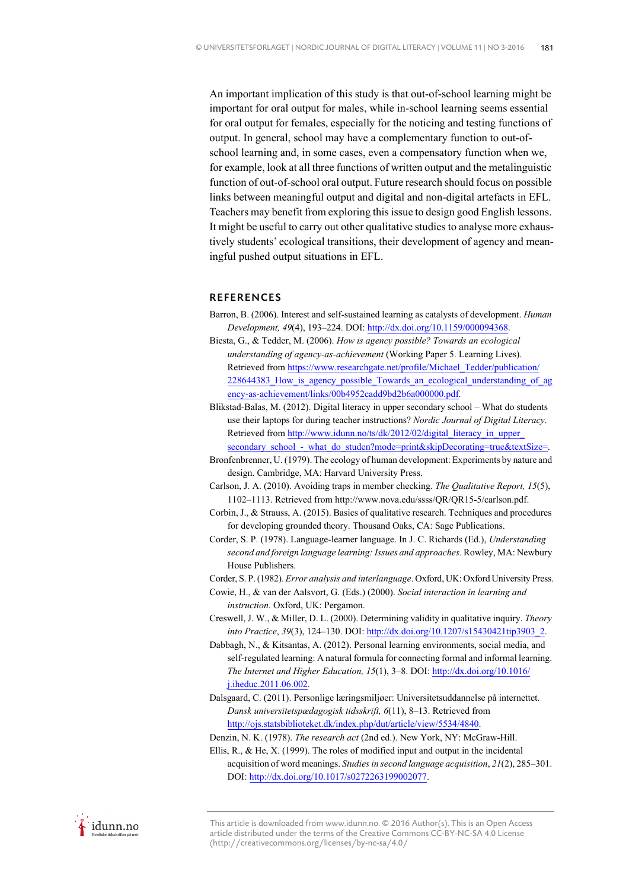An important implication of this study is that out-of-school learning might be important for oral output for males, while in-school learning seems essential for oral output for females, especially for the noticing and testing functions of output. In general, school may have a complementary function to out-ofschool learning and, in some cases, even a compensatory function when we, for example, look at all three functions of written output and the metalinguistic function of out-of-school oral output. Future research should focus on possible links between meaningful output and digital and non-digital artefacts in EFL. Teachers may benefit from exploring this issue to design good English lessons. It might be useful to carry out other qualitative studies to analyse more exhaustively students' ecological transitions, their development of agency and meaningful pushed output situations in EFL.

## **REFERENCES**

- Barron, B. (2006). Interest and self-sustained learning as catalysts of development. *Human Development, 49*(4), 193–224. DOI: http://dx.doi.org/10.1159/000094368.
- Biesta, G., & Tedder, M. (2006). *How is agency possible? Towards an ecological understanding of agency-as-achievement* (Working Paper 5. Learning Lives). Retrieved from https://www.researchgate.net/profile/Michael\_Tedder/publication/ 228644383 How is agency possible Towards an ecological understanding of ag ency-as-achievement/links/00b4952cadd9bd2b6a000000.pdf.
- Blikstad-Balas, M. (2012). Digital literacy in upper secondary school What do students use their laptops for during teacher instructions? *Nordic Journal of Digital Literacy*. Retrieved from http://www.idunn.no/ts/dk/2012/02/digital\_literacy\_in\_upper\_ secondary\_school\_-\_what\_do\_studen?mode=print&skipDecorating=true&textSize=.
- Bronfenbrenner, U. (1979). The ecology of human development: Experiments by nature and design. Cambridge, MA: Harvard University Press.
- Carlson, J. A. (2010). Avoiding traps in member checking. *The Qualitative Report, 15*(5), 1102–1113. Retrieved from http://www.nova.edu/ssss/QR/QR15-5/carlson.pdf.
- Corbin, J., & Strauss, A. (2015). Basics of qualitative research. Techniques and procedures for developing grounded theory. Thousand Oaks, CA: Sage Publications.
- Corder, S. P. (1978). Language-learner language. In J. C. Richards (Ed.), *Understanding second and foreign language learning: Issues and approaches*. Rowley, MA: Newbury House Publishers.
- Corder, S. P. (1982). *Error analysis and interlanguage*. Oxford, UK: Oxford University Press.
- Cowie, H., & van der Aalsvort, G. (Eds.) (2000). *Social interaction in learning and instruction*. Oxford, UK: Pergamon.
- Creswell, J. W., & Miller, D. L. (2000). Determining validity in qualitative inquiry. *Theory into Practice*, *39*(3), 124–130. DOI: http://dx.doi.org/10.1207/s15430421tip3903\_2.
- Dabbagh, N., & Kitsantas, A. (2012). Personal learning environments, social media, and self-regulated learning: A natural formula for connecting formal and informal learning. *The Internet and Higher Education, 15*(1), 3–8. DOI: http://dx.doi.org/10.1016/ j.iheduc.2011.06.002.
- Dalsgaard, C. (2011). Personlige læringsmiljøer: Universitetsuddannelse på internettet. *Dansk universitetspædagogisk tidsskrift, 6*(11), 8–13. Retrieved from http://ojs.statsbiblioteket.dk/index.php/dut/article/view/5534/4840.

Denzin, N. K. (1978). *The research act* (2nd ed.). New York, NY: McGraw-Hill.

Ellis, R., & He, X. (1999). The roles of modified input and output in the incidental acquisition of word meanings. *Studies in second language acquisition*, *21*(2), 285–301. DOI: http://dx.doi.org/10.1017/s0272263199002077.

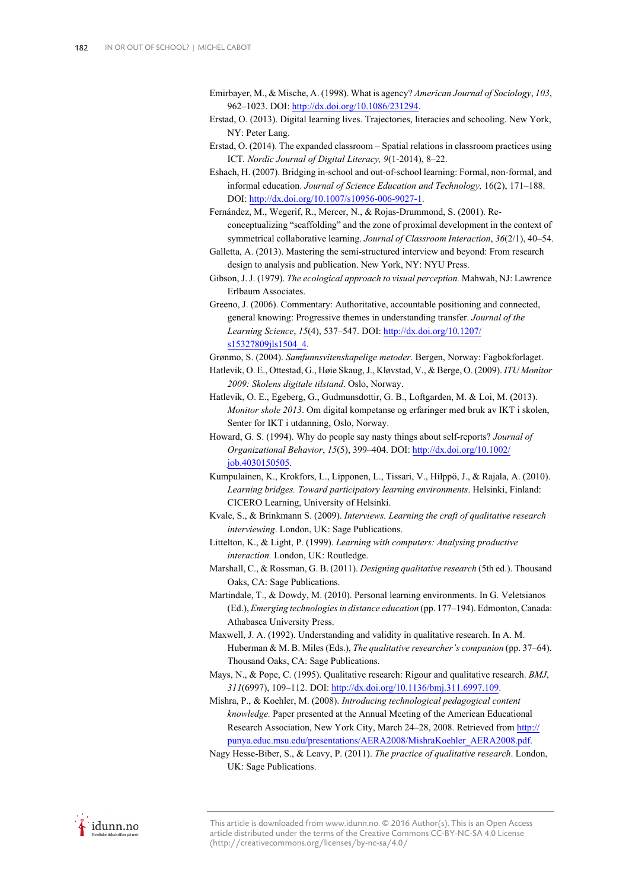- Emirbayer, M., & Mische, A. (1998). What is agency? *American Journal of Sociology*, *103*, 962–1023. DOI: http://dx.doi.org/10.1086/231294.
- Erstad, O. (2013). Digital learning lives. Trajectories, literacies and schooling. New York, NY: Peter Lang.
- Erstad, O. (2014). The expanded classroom Spatial relations in classroom practices using ICT*. Nordic Journal of Digital Literacy, 9*(1-2014), 8–22.
- Eshach, H. (2007). Bridging in-school and out-of-school learning: Formal, non-formal, and informal education. *Journal of Science Education and Technology,* 16(2), 171–188. DOI: http://dx.doi.org/10.1007/s10956-006-9027-1.
- Fernández, M., Wegerif, R., Mercer, N., & Rojas-Drummond, S. (2001). Reconceptualizing "scaffolding" and the zone of proximal development in the context of symmetrical collaborative learning. *Journal of Classroom Interaction*, *36*(2/1), 40–54.
- Galletta, A. (2013). Mastering the semi-structured interview and beyond: From research design to analysis and publication. New York, NY: NYU Press.
- Gibson, J. J. (1979). *The ecological approach to visual perception.* Mahwah, NJ: Lawrence Erlbaum Associates.
- Greeno, J. (2006). Commentary: Authoritative, accountable positioning and connected, general knowing: Progressive themes in understanding transfer. *Journal of the Learning Science*, *15*(4), 537–547. DOI: http://dx.doi.org/10.1207/ s15327809jls1504\_4.

Grønmo, S. (2004). *Samfunnsvitenskapelige metoder*. Bergen, Norway: Fagbokforlaget.

- Hatlevik, O. E., Ottestad, G., Høie Skaug, J., Kløvstad, V., & Berge, O. (2009). *ITU Monitor 2009: Skolens digitale tilstand*. Oslo, Norway.
- Hatlevik, O. E., Egeberg, G., Gudmunsdottir, G. B., Loftgarden, M. & Loi, M. (2013). *Monitor skole 2013*. Om digital kompetanse og erfaringer med bruk av IKT i skolen, Senter for IKT i utdanning, Oslo, Norway.
- Howard, G. S. (1994). Why do people say nasty things about self-reports? *Journal of Organizational Behavior*, *15*(5), 399–404. DOI: http://dx.doi.org/10.1002/ iob.4030150505.
- Kumpulainen, K., Krokfors, L., Lipponen, L., Tissari, V., Hilppö, J., & Rajala, A. (2010). *Learning bridges. Toward participatory learning environments*. Helsinki, Finland: CICERO Learning, University of Helsinki.
- Kvale, S., & Brinkmann S. (2009). *Interviews. Learning the craft of qualitative research interviewing*. London, UK: Sage Publications.
- Littelton, K., & Light, P. (1999). *Learning with computers: Analysing productive interaction.* London, UK: Routledge.
- Marshall, C., & Rossman, G. B. (2011). *Designing qualitative research* (5th ed.). Thousand Oaks, CA: Sage Publications.
- Martindale, T., & Dowdy, M. (2010). Personal learning environments. In G. Veletsianos (Ed.), *Emerging technologies in distance education* (pp. 177–194). Edmonton, Canada: Athabasca University Press.
- Maxwell, J. A. (1992). Understanding and validity in qualitative research. In A. M. Huberman & M. B. Miles (Eds.), *The qualitative researcher's companion* (pp. 37–64). Thousand Oaks, CA: Sage Publications.
- Mays, N., & Pope, C. (1995). Qualitative research: Rigour and qualitative research. *BMJ*, *311*(6997), 109–112. DOI: http://dx.doi.org/10.1136/bmj.311.6997.109.
- Mishra, P., & Koehler, M. (2008). *Introducing technological pedagogical content knowledge.* Paper presented at the Annual Meeting of the American Educational Research Association, New York City, March 24–28, 2008. Retrieved from http:// punya.educ.msu.edu/presentations/AERA2008/MishraKoehler\_AERA2008.pdf.
- Nagy Hesse-Biber, S., & Leavy, P. (2011). *The practice of qualitative research*. London, UK: Sage Publications.

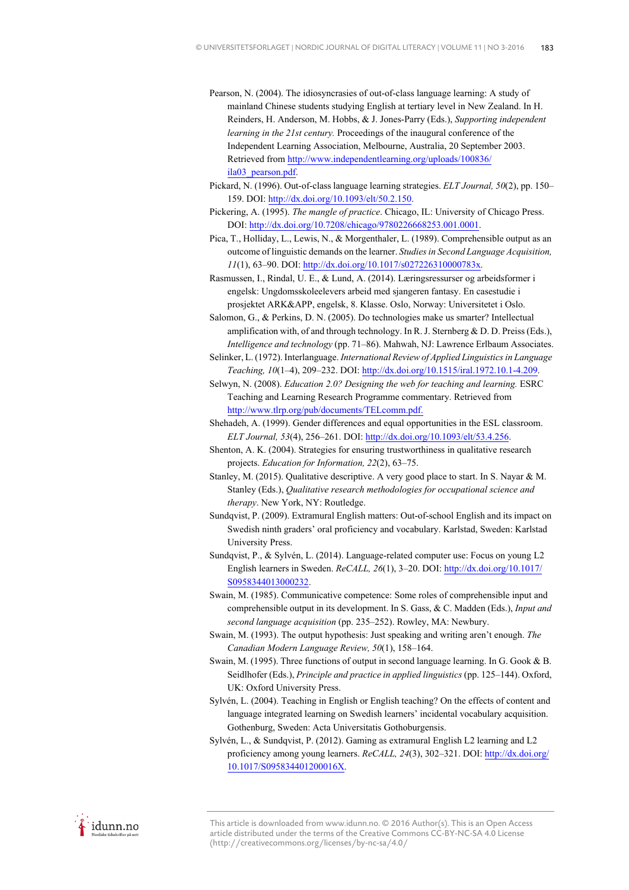- Pearson, N. (2004). The idiosyncrasies of out-of-class language learning: A study of mainland Chinese students studying English at tertiary level in New Zealand. In H. Reinders, H. Anderson, M. Hobbs, & J. Jones-Parry (Eds.), *Supporting independent learning in the 21st century.* Proceedings of the inaugural conference of the Independent Learning Association, Melbourne, Australia, 20 September 2003. Retrieved from http://www.independentlearning.org/uploads/100836/ ila03\_pearson.pdf.
- Pickard, N. (1996). Out-of-class language learning strategies. *ELT Journal, 50*(2), pp. 150– 159. DOI: http://dx.doi.org/10.1093/elt/50.2.150.
- Pickering, A. (1995). *The mangle of practice*. Chicago, IL: University of Chicago Press. DOI: http://dx.doi.org/10.7208/chicago/9780226668253.001.0001.
- Pica, T., Holliday, L., Lewis, N., & Morgenthaler, L. (1989). Comprehensible output as an outcome of linguistic demands on the learner. *Studies in Second Language Acquisition, 11*(1), 63–90. DOI: http://dx.doi.org/10.1017/s027226310000783x.
- Rasmussen, I., Rindal, U. E., & Lund, A. (2014). Læringsressurser og arbeidsformer i engelsk: Ungdomsskoleelevers arbeid med sjangeren fantasy. En casestudie i prosjektet ARK&APP, engelsk, 8. Klasse. Oslo, Norway: Universitetet i Oslo.
- Salomon, G., & Perkins, D. N. (2005). Do technologies make us smarter? Intellectual amplification with, of and through technology. In R. J. Sternberg  $\&$  D. D. Preiss (Eds.), *Intelligence and technology* (pp. 71–86). Mahwah, NJ: Lawrence Erlbaum Associates.
- Selinker, L. (1972). Interlanguage. *International Review of Applied Linguistics in Language Teaching, 10*(1–4), 209–232. DOI: http://dx.doi.org/10.1515/iral.1972.10.1-4.209.
- Selwyn, N. (2008). *Education 2.0? Designing the web for teaching and learning.* ESRC Teaching and Learning Research Programme commentary. Retrieved from http://www.tlrp.org/pub/documents/TELcomm.pdf.
- Shehadeh, A. (1999). Gender differences and equal opportunities in the ESL classroom. *ELT Journal, 53*(4), 256–261. DOI: http://dx.doi.org/10.1093/elt/53.4.256.
- Shenton, A. K. (2004). Strategies for ensuring trustworthiness in qualitative research projects. *Education for Information, 22*(2), 63–75.
- Stanley, M. (2015). Qualitative descriptive. A very good place to start. In S. Nayar & M. Stanley (Eds.), *Qualitative research methodologies for occupational science and therapy*. New York, NY: Routledge.
- Sundqvist, P. (2009). Extramural English matters: Out-of-school English and its impact on Swedish ninth graders' oral proficiency and vocabulary. Karlstad, Sweden: Karlstad University Press.
- Sundqvist, P., & Sylvén, L. (2014). Language-related computer use: Focus on young L2 English learners in Sweden. *ReCALL, 26*(1), 3–20. DOI: http://dx.doi.org/10.1017/ S0958344013000232.
- Swain, M. (1985). Communicative competence: Some roles of comprehensible input and comprehensible output in its development. In S. Gass, & C. Madden (Eds.), *Input and second language acquisition* (pp. 235–252). Rowley, MA: Newbury.
- Swain, M. (1993). The output hypothesis: Just speaking and writing aren't enough. *The Canadian Modern Language Review, 50*(1), 158–164.
- Swain, M. (1995). Three functions of output in second language learning. In G. Gook & B. Seidlhofer (Eds.), *Principle and practice in applied linguistics* (pp. 125–144). Oxford, UK: Oxford University Press.
- Sylvén, L. (2004). Teaching in English or English teaching? On the effects of content and language integrated learning on Swedish learners' incidental vocabulary acquisition. Gothenburg, Sweden: Acta Universitatis Gothoburgensis.
- Sylvén, L., & Sundqvist, P. (2012). Gaming as extramural English L2 learning and L2 proficiency among young learners. *ReCALL, 24*(3), 302–321. DOI: http://dx.doi.org/ 10.1017/S095834401200016X.

idunn.no